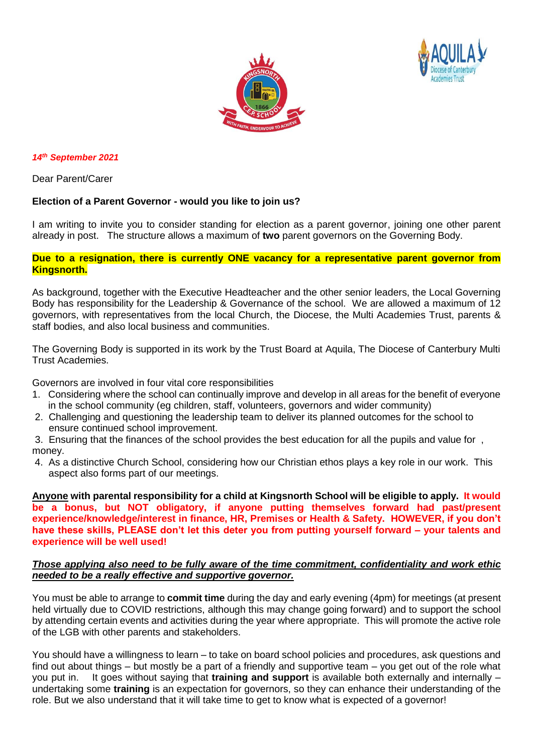



#### *14 th September 2021*

Dear Parent/Carer

### **Election of a Parent Governor - would you like to join us?**

I am writing to invite you to consider standing for election as a parent governor, joining one other parent already in post. The structure allows a maximum of **two** parent governors on the Governing Body.

#### **Due to a resignation, there is currently ONE vacancy for a representative parent governor from Kingsnorth.**

As background, together with the Executive Headteacher and the other senior leaders, the Local Governing Body has responsibility for the Leadership & Governance of the school. We are allowed a maximum of 12 governors, with representatives from the local Church, the Diocese, the Multi Academies Trust, parents & staff bodies, and also local business and communities.

The Governing Body is supported in its work by the Trust Board at Aquila, The Diocese of Canterbury Multi Trust Academies.

Governors are involved in four vital core responsibilities

- 1. Considering where the school can continually improve and develop in all areas for the benefit of everyone in the school community (eg children, staff, volunteers, governors and wider community)
- 2. Challenging and questioning the leadership team to deliver its planned outcomes for the school to ensure continued school improvement.
- 3. Ensuring that the finances of the school provides the best education for all the pupils and value for , money.
- 4. As a distinctive Church School, considering how our Christian ethos plays a key role in our work. This aspect also forms part of our meetings.

**Anyone with parental responsibility for a child at Kingsnorth School will be eligible to apply. It would be a bonus, but NOT obligatory, if anyone putting themselves forward had past/present experience/knowledge/interest in finance, HR, Premises or Health & Safety. HOWEVER, if you don't have these skills, PLEASE don't let this deter you from putting yourself forward – your talents and experience will be well used!**

#### *Those applying also need to be fully aware of the time commitment, confidentiality and work ethic needed to be a really effective and supportive governor.*

You must be able to arrange to **commit time** during the day and early evening (4pm) for meetings (at present held virtually due to COVID restrictions, although this may change going forward) and to support the school by attending certain events and activities during the year where appropriate. This will promote the active role of the LGB with other parents and stakeholders.

You should have a willingness to learn – to take on board school policies and procedures, ask questions and find out about things – but mostly be a part of a friendly and supportive team – you get out of the role what you put in. It goes without saying that **training and support** is available both externally and internally – undertaking some **training** is an expectation for governors, so they can enhance their understanding of the role. But we also understand that it will take time to get to know what is expected of a governor!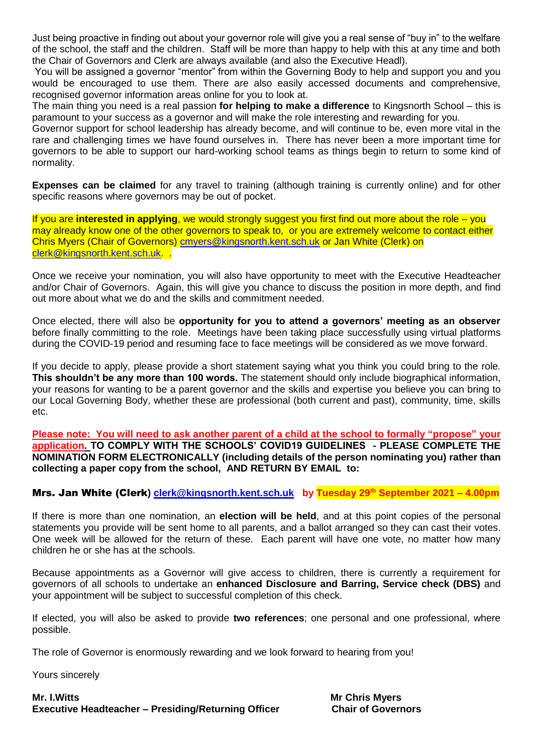Just being proactive in finding out about your governor role will give you a real sense of "buy in" to the welfare of the school, the staff and the children. Staff will be more than happy to help with this at any time and both the Chair of Governors and Clerk are always available (and also the Executive Headl).

You will be assigned a governor "mentor" from within the Governing Body to help and support you and you would be encouraged to use them. There are also easily accessed documents and comprehensive, recognised governor information areas online for you to look at.

The main thing you need is a real passion **for helping to make a difference** to Kingsnorth School – this is paramount to your success as a governor and will make the role interesting and rewarding for you.

Governor support for school leadership has already become, and will continue to be, even more vital in the rare and challenging times we have found ourselves in. There has never been a more important time for governors to be able to support our hard-working school teams as things begin to return to some kind of normality.

**Expenses can be claimed** for any travel to training (although training is currently online) and for other specific reasons where governors may be out of pocket.

If you are **interested in applying**, we would strongly suggest you first find out more about the role – you may already know one of the other governors to speak to, or you are extremely welcome to contact either Chris Myers (Chair of Governors) [cmyers@kingsnorth.kent.sch.uk](mailto:cmyers@kingsnorth.kent.sch.uk) or Jan White (Clerk) on [clerk@kingsnorth.kent.sch.uk.](mailto:clerk@kingsnorth.kent.sch.uk) .

Once we receive your nomination, you will also have opportunity to meet with the Executive Headteacher and/or Chair of Governors. Again, this will give you chance to discuss the position in more depth, and find out more about what we do and the skills and commitment needed.

Once elected, there will also be **opportunity for you to attend a governors' meeting as an observer** before finally committing to the role. Meetings have been taking place successfully using virtual platforms during the COVID-19 period and resuming face to face meetings will be considered as we move forward.

If you decide to apply, please provide a short statement saying what you think you could bring to the role. **This shouldn't be any more than 100 words.** The statement should only include biographical information, your reasons for wanting to be a parent governor and the skills and expertise you believe you can bring to our Local Governing Body, whether these are professional (both current and past), community, time, skills etc.

**Please note: You will need to ask another parent of a child at the school to formally "propose" your application. TO COMPLY WITH THE SCHOOLS' COVID19 GUIDELINES - PLEASE COMPLETE THE NOMINATION FORM ELECTRONICALLY (including details of the person nominating you) rather than collecting a paper copy from the school, AND RETURN BY EMAIL to:**

## Mrs. Jan White (Clerk**) [clerk@kingsnorth.kent.sch.uk](mailto:clerk@kingsnorth.kent.sch.uk) by Tuesday 29th September 2021 – 4.00pm**

If there is more than one nomination, an **election will be held**, and at this point copies of the personal statements you provide will be sent home to all parents, and a ballot arranged so they can cast their votes. One week will be allowed for the return of these. Each parent will have one vote, no matter how many children he or she has at the schools.

Because appointments as a Governor will give access to children, there is currently a requirement for governors of all schools to undertake an **enhanced Disclosure and Barring, Service check (DBS)** and your appointment will be subject to successful completion of this check.

If elected, you will also be asked to provide **two references**; one personal and one professional, where possible.

The role of Governor is enormously rewarding and we look forward to hearing from you!

Yours sincerely

**Mr. I.Witts Mr Chris Myers Executive Headteacher – Presiding/Returning Officer Chair of Governors**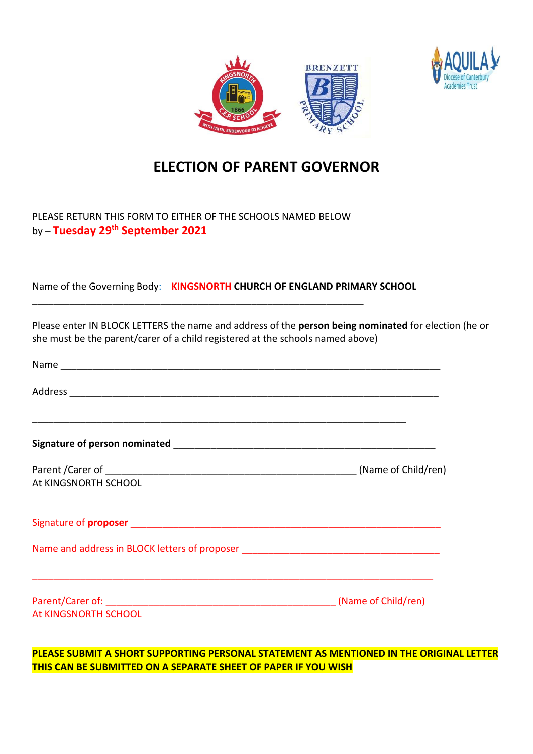



# **ELECTION OF PARENT GOVERNOR**

# PLEASE RETURN THIS FORM TO EITHER OF THE SCHOOLS NAMED BELOW by – **Tuesday 29th September 2021**

\_\_\_\_\_\_\_\_\_\_\_\_\_\_\_\_\_\_\_\_\_\_\_\_\_\_\_\_\_\_\_\_\_\_\_\_\_\_\_\_\_\_\_\_\_\_\_\_\_\_\_\_\_\_\_\_\_\_\_\_\_\_

Name of the Governing Body: **KINGSNORTH CHURCH OF ENGLAND PRIMARY SCHOOL**

Please enter IN BLOCK LETTERS the name and address of the **person being nominated** for election (he or she must be the parent/carer of a child registered at the schools named above)

| Name and address in BLOCK letters of proposer __________________________________ |
|----------------------------------------------------------------------------------|
|                                                                                  |
|                                                                                  |

**PLEASE SUBMIT A SHORT SUPPORTING PERSONAL STATEMENT AS MENTIONED IN THE ORIGINAL LETTER THIS CAN BE SUBMITTED ON A SEPARATE SHEET OF PAPER IF YOU WISH**